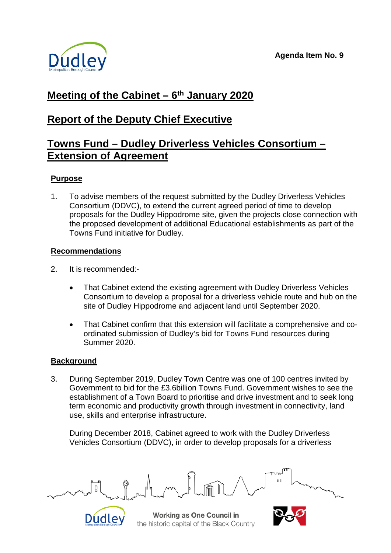

# **Meeting of the Cabinet – 6th January 2020**

# **Report of the Deputy Chief Executive**

# **Towns Fund – Dudley Driverless Vehicles Consortium – Extension of Agreement**

## **Purpose**

1. To advise members of the request submitted by the Dudley Driverless Vehicles Consortium (DDVC), to extend the current agreed period of time to develop proposals for the Dudley Hippodrome site, given the projects close connection with the proposed development of additional Educational establishments as part of the Towns Fund initiative for Dudley.

## **Recommendations**

2. It is recommended:-

Dudley

- That Cabinet extend the existing agreement with Dudley Driverless Vehicles Consortium to develop a proposal for a driverless vehicle route and hub on the site of Dudley Hippodrome and adjacent land until September 2020.
- That Cabinet confirm that this extension will facilitate a comprehensive and coordinated submission of Dudley's bid for Towns Fund resources during Summer 2020.

## **Background**

3. During September 2019, Dudley Town Centre was one of 100 centres invited by Government to bid for the £3.6billion Towns Fund. Government wishes to see the establishment of a Town Board to prioritise and drive investment and to seek long term economic and productivity growth through investment in connectivity, land use, skills and enterprise infrastructure.

During December 2018, Cabinet agreed to work with the Dudley Driverless Vehicles Consortium (DDVC), in order to develop proposals for a driverless



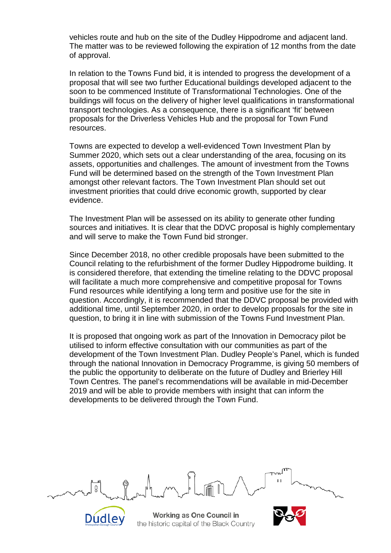vehicles route and hub on the site of the Dudley Hippodrome and adjacent land. The matter was to be reviewed following the expiration of 12 months from the date of approval.

In relation to the Towns Fund bid, it is intended to progress the development of a proposal that will see two further Educational buildings developed adjacent to the soon to be commenced Institute of Transformational Technologies. One of the buildings will focus on the delivery of higher level qualifications in transformational transport technologies. As a consequence, there is a significant 'fit' between proposals for the Driverless Vehicles Hub and the proposal for Town Fund resources.

Towns are expected to develop a well-evidenced Town Investment Plan by Summer 2020, which sets out a clear understanding of the area, focusing on its assets, opportunities and challenges. The amount of investment from the Towns Fund will be determined based on the strength of the Town Investment Plan amongst other relevant factors. The Town Investment Plan should set out investment priorities that could drive economic growth, supported by clear evidence.

The Investment Plan will be assessed on its ability to generate other funding sources and initiatives. It is clear that the DDVC proposal is highly complementary and will serve to make the Town Fund bid stronger.

Since December 2018, no other credible proposals have been submitted to the Council relating to the refurbishment of the former Dudley Hippodrome building. It is considered therefore, that extending the timeline relating to the DDVC proposal will facilitate a much more comprehensive and competitive proposal for Towns Fund resources while identifying a long term and positive use for the site in question. Accordingly, it is recommended that the DDVC proposal be provided with additional time, until September 2020, in order to develop proposals for the site in question, to bring it in line with submission of the Towns Fund Investment Plan.

It is proposed that ongoing work as part of the Innovation in Democracy pilot be utilised to inform effective consultation with our communities as part of the development of the Town Investment Plan. Dudley People's Panel, which is funded through the national Innovation in Democracy Programme, is giving 50 members of the public the opportunity to deliberate on the future of Dudley and Brierley Hill Town Centres. The panel's recommendations will be available in mid-December 2019 and will be able to provide members with insight that can inform the developments to be delivered through the Town Fund.

Working as One Council in the historic capital of the Black Country

Dudley

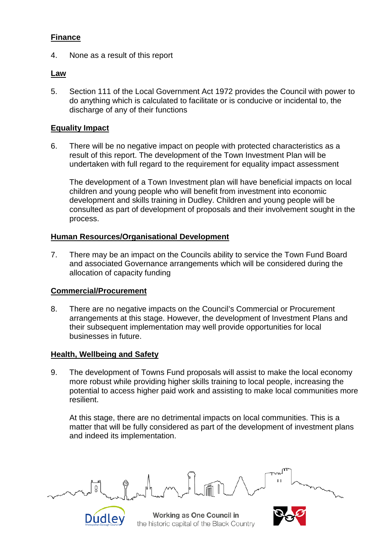### **Finance**

4. None as a result of this report

#### **Law**

5. Section 111 of the Local Government Act 1972 provides the Council with power to do anything which is calculated to facilitate or is conducive or incidental to, the discharge of any of their functions

### **Equality Impact**

6. There will be no negative impact on people with protected characteristics as a result of this report. The development of the Town Investment Plan will be undertaken with full regard to the requirement for equality impact assessment

The development of a Town Investment plan will have beneficial impacts on local children and young people who will benefit from investment into economic development and skills training in Dudley. Children and young people will be consulted as part of development of proposals and their involvement sought in the process.

#### **Human Resources/Organisational Development**

7. There may be an impact on the Councils ability to service the Town Fund Board and associated Governance arrangements which will be considered during the allocation of capacity funding

#### **Commercial/Procurement**

8. There are no negative impacts on the Council's Commercial or Procurement arrangements at this stage. However, the development of Investment Plans and their subsequent implementation may well provide opportunities for local businesses in future.

#### **Health, Wellbeing and Safety**

Dudley

9. The development of Towns Fund proposals will assist to make the local economy more robust while providing higher skills training to local people, increasing the potential to access higher paid work and assisting to make local communities more resilient.

At this stage, there are no detrimental impacts on local communities. This is a matter that will be fully considered as part of the development of investment plans and indeed its implementation.